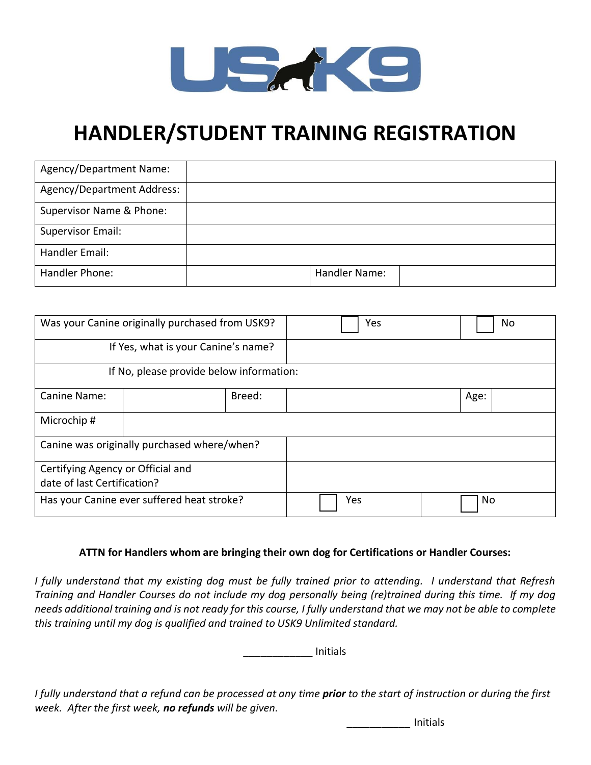

# **HANDLER/STUDENT TRAINING REGISTRATION**

| Agency/Department Name:    |               |  |
|----------------------------|---------------|--|
| Agency/Department Address: |               |  |
| Supervisor Name & Phone:   |               |  |
| Supervisor Email:          |               |  |
| Handler Email:             |               |  |
| Handler Phone:             | Handler Name: |  |

|                                             | Was your Canine originally purchased from USK9? | Yes | No   |  |  |
|---------------------------------------------|-------------------------------------------------|-----|------|--|--|
| If Yes, what is your Canine's name?         |                                                 |     |      |  |  |
| If No, please provide below information:    |                                                 |     |      |  |  |
| Canine Name:                                | Breed:                                          |     | Age: |  |  |
| Microchip#                                  |                                                 |     |      |  |  |
| Canine was originally purchased where/when? |                                                 |     |      |  |  |
| Certifying Agency or Official and           |                                                 |     |      |  |  |
| date of last Certification?                 |                                                 |     |      |  |  |
| Has your Canine ever suffered heat stroke?  |                                                 | Yes | No   |  |  |

## **ATTN for Handlers whom are bringing their own dog for Certifications or Handler Courses:**

*I fully understand that my existing dog must be fully trained prior to attending. I understand that Refresh Training and Handler Courses do not include my dog personally being (re)trained during this time. If my dog needs additional training and is not ready for this course, I fully understand that we may not be able to complete this training until my dog is qualified and trained to USK9 Unlimited standard.*

\_\_\_\_\_\_\_\_\_\_\_\_ Initials

*I fully understand that a refund can be processed at any time prior to the start of instruction or during the first week. After the first week, no refunds will be given.*

*\_\_\_\_\_\_\_\_\_\_\_* Initials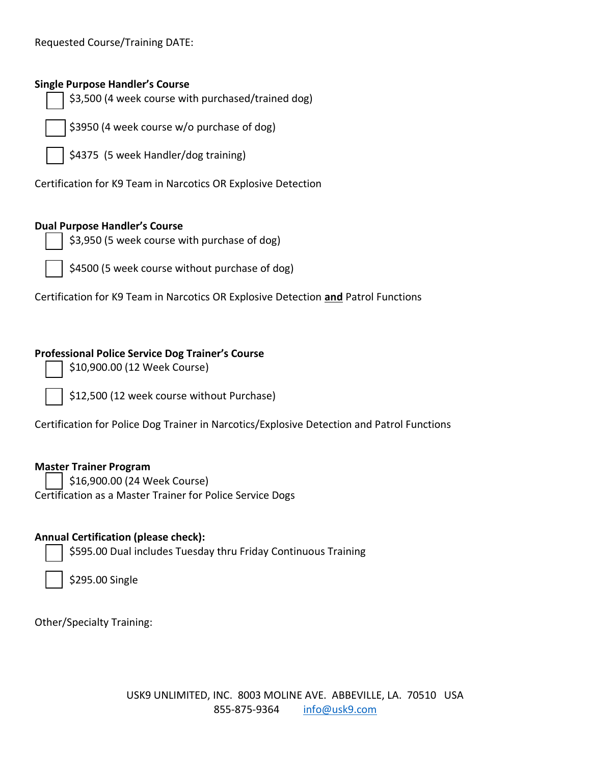Requested Course/Training DATE:

#### **Single Purpose Handler's Course**

\$3,500 (4 week course with purchased/trained dog)

\$3950 (4 week course w/o purchase of dog)

\$4375 (5 week Handler/dog training)

Certification for K9 Team in Narcotics OR Explosive Detection

#### **Dual Purpose Handler's Course**

\$3,950 (5 week course with purchase of dog)

\$4500 (5 week course without purchase of dog)

Certification for K9 Team in Narcotics OR Explosive Detection **and** Patrol Functions

#### **Professional Police Service Dog Trainer's Course**

\$10,900.00 (12 Week Course)

\$12,500 (12 week course without Purchase)

Certification for Police Dog Trainer in Narcotics/Explosive Detection and Patrol Functions

#### **Master Trainer Program**

\$16,900.00 (24 Week Course)

Certification as a Master Trainer for Police Service Dogs

#### **Annual Certification (please check):**

\$595.00 Dual includes Tuesday thru Friday Continuous Training

| \$295.00 Single |  |
|-----------------|--|
|-----------------|--|

Other/Specialty Training: